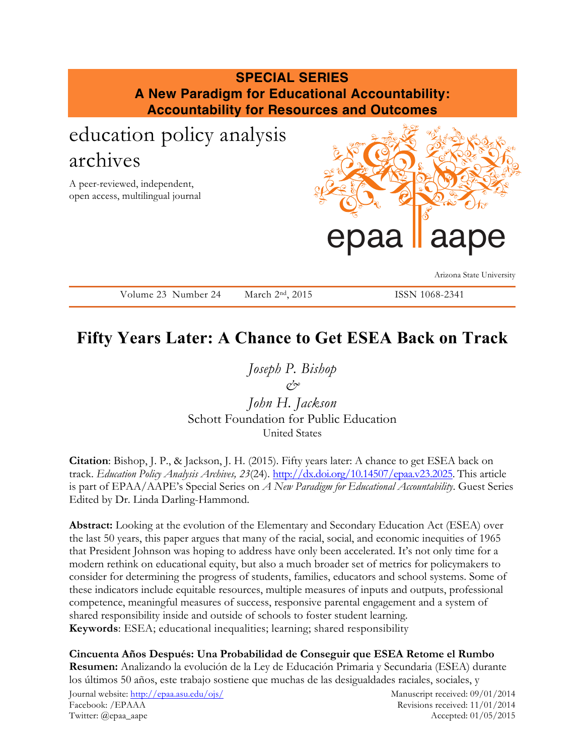

# **Fifty Years Later: A Chance to Get ESEA Back on Track**

# *Joseph P. Bishop & John H. Jackson* Schott Foundation for Public Education United States

**Citation**: Bishop, J. P., & Jackson, J. H. (2015). Fifty years later: A chance to get ESEA back on track. *Education Policy Analysis Archives, 23*(24). http://dx.doi.org/10.14507/epaa.v23.2025. This article is part of EPAA/AAPE's Special Series on *A New Paradigm for Educational Accountability*. Guest Series Edited by Dr. Linda Darling-Hammond.

**Abstract:** Looking at the evolution of the Elementary and Secondary Education Act (ESEA) over the last 50 years, this paper argues that many of the racial, social, and economic inequities of 1965 that President Johnson was hoping to address have only been accelerated. It's not only time for a modern rethink on educational equity, but also a much broader set of metrics for policymakers to consider for determining the progress of students, families, educators and school systems. Some of these indicators include equitable resources, multiple measures of inputs and outputs, professional competence, meaningful measures of success, responsive parental engagement and a system of shared responsibility inside and outside of schools to foster student learning. **Keywords**: ESEA; educational inequalities; learning; shared responsibility

Journal website: http://epaa.asu.edu/ojs/ Manuscript received: 09/01/2014 Facebook: /EPAAA Revisions received: 11/01/2014 Twitter: @epaa\_aape Accepted: 01/05/2015 **Cincuenta Años Después: Una Probabilidad de Conseguir que ESEA Retome el Rumbo Resumen:** Analizando la evolución de la Ley de Educación Primaria y Secundaria (ESEA) durante los últimos 50 años, este trabajo sostiene que muchas de las desigualdades raciales, sociales, y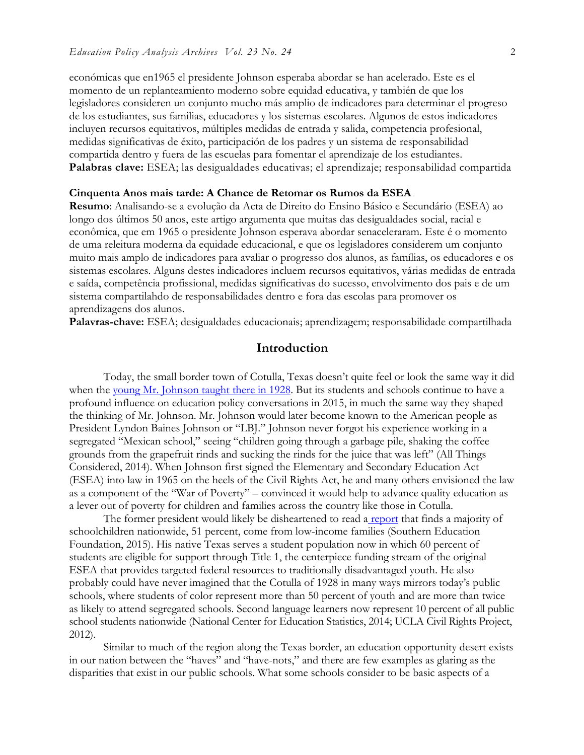económicas que en1965 el presidente Johnson esperaba abordar se han acelerado. Este es el momento de un replanteamiento moderno sobre equidad educativa, y también de que los legisladores consideren un conjunto mucho más amplio de indicadores para determinar el progreso de los estudiantes, sus familias, educadores y los sistemas escolares. Algunos de estos indicadores incluyen recursos equitativos, múltiples medidas de entrada y salida, competencia profesional, medidas significativas de éxito, participación de los padres y un sistema de responsabilidad compartida dentro y fuera de las escuelas para fomentar el aprendizaje de los estudiantes. **Palabras clave:** ESEA; las desigualdades educativas; el aprendizaje; responsabilidad compartida

#### **Cinquenta Anos mais tarde: A Chance de Retomar os Rumos da ESEA**

**Resumo**: Analisando-se a evolução da Acta de Direito do Ensino Básico e Secundário (ESEA) ao longo dos últimos 50 anos, este artigo argumenta que muitas das desigualdades social, racial e econômica, que em 1965 o presidente Johnson esperava abordar senaceleraram. Este é o momento de uma releitura moderna da equidade educacional, e que os legisladores considerem um conjunto muito mais amplo de indicadores para avaliar o progresso dos alunos, as famílias, os educadores e os sistemas escolares. Alguns destes indicadores incluem recursos equitativos, várias medidas de entrada e saída, competência profissional, medidas significativas do sucesso, envolvimento dos pais e de um sistema compartilahdo de responsabilidades dentro e fora das escolas para promover os aprendizagens dos alunos.

**Palavras-chave:** ESEA; desigualdades educacionais; aprendizagem; responsabilidade compartilhada

### **Introduction**

Today, the small border town of Cotulla, Texas doesn't quite feel or look the same way it did when the young Mr. Johnson taught there in 1928. But its students and schools continue to have a profound influence on education policy conversations in 2015, in much the same way they shaped the thinking of Mr. Johnson. Mr. Johnson would later become known to the American people as President Lyndon Baines Johnson or "LBJ." Johnson never forgot his experience working in a segregated "Mexican school," seeing "children going through a garbage pile, shaking the coffee grounds from the grapefruit rinds and sucking the rinds for the juice that was left" (All Things Considered, 2014). When Johnson first signed the Elementary and Secondary Education Act (ESEA) into law in 1965 on the heels of the Civil Rights Act, he and many others envisioned the law as a component of the "War of Poverty" – convinced it would help to advance quality education as a lever out of poverty for children and families across the country like those in Cotulla.

The former president would likely be disheartened to read a report that finds a majority of schoolchildren nationwide, 51 percent, come from low-income families (Southern Education Foundation, 2015). His native Texas serves a student population now in which 60 percent of students are eligible for support through Title 1, the centerpiece funding stream of the original ESEA that provides targeted federal resources to traditionally disadvantaged youth. He also probably could have never imagined that the Cotulla of 1928 in many ways mirrors today's public schools, where students of color represent more than 50 percent of youth and are more than twice as likely to attend segregated schools. Second language learners now represent 10 percent of all public school students nationwide (National Center for Education Statistics, 2014; UCLA Civil Rights Project, 2012).

Similar to much of the region along the Texas border, an education opportunity desert exists in our nation between the "haves" and "have-nots," and there are few examples as glaring as the disparities that exist in our public schools. What some schools consider to be basic aspects of a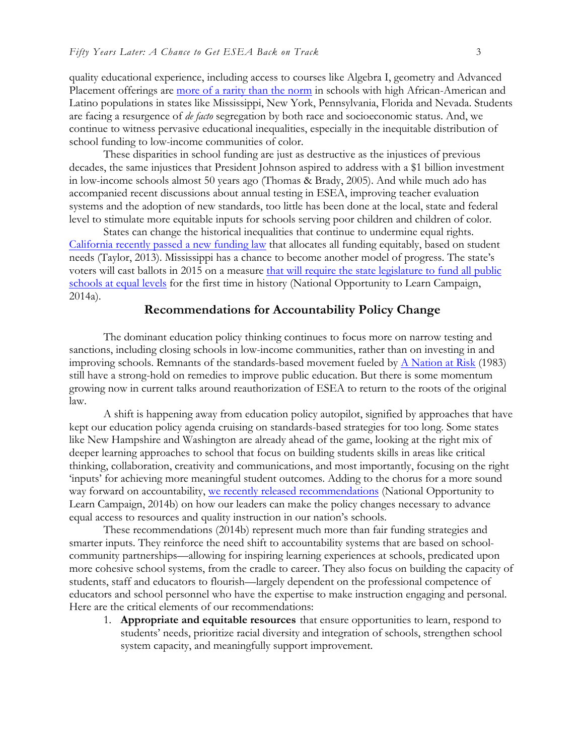quality educational experience, including access to courses like Algebra I, geometry and Advanced Placement offerings are more of a rarity than the norm in schools with high African-American and Latino populations in states like Mississippi, New York, Pennsylvania, Florida and Nevada. Students are facing a resurgence of *de facto* segregation by both race and socioeconomic status. And, we continue to witness pervasive educational inequalities, especially in the inequitable distribution of school funding to low-income communities of color.

These disparities in school funding are just as destructive as the injustices of previous decades, the same injustices that President Johnson aspired to address with a \$1 billion investment in low-income schools almost 50 years ago (Thomas & Brady, 2005). And while much ado has accompanied recent discussions about annual testing in ESEA, improving teacher evaluation systems and the adoption of new standards, too little has been done at the local, state and federal level to stimulate more equitable inputs for schools serving poor children and children of color.

States can change the historical inequalities that continue to undermine equal rights. California recently passed a new funding law that allocates all funding equitably, based on student needs (Taylor, 2013). Mississippi has a chance to become another model of progress. The state's voters will cast ballots in 2015 on a measure that will require the state legislature to fund all public schools at equal levels for the first time in history (National Opportunity to Learn Campaign, 2014a).

#### **Recommendations for Accountability Policy Change**

The dominant education policy thinking continues to focus more on narrow testing and sanctions, including closing schools in low-income communities, rather than on investing in and improving schools. Remnants of the standards-based movement fueled by A Nation at Risk (1983) still have a strong-hold on remedies to improve public education. But there is some momentum growing now in current talks around reauthorization of ESEA to return to the roots of the original law.

A shift is happening away from education policy autopilot, signified by approaches that have kept our education policy agenda cruising on standards-based strategies for too long. Some states like New Hampshire and Washington are already ahead of the game, looking at the right mix of deeper learning approaches to school that focus on building students skills in areas like critical thinking, collaboration, creativity and communications, and most importantly, focusing on the right 'inputs' for achieving more meaningful student outcomes. Adding to the chorus for a more sound way forward on accountability, we recently released recommendations (National Opportunity to Learn Campaign, 2014b) on how our leaders can make the policy changes necessary to advance equal access to resources and quality instruction in our nation's schools.

These recommendations (2014b) represent much more than fair funding strategies and smarter inputs. They reinforce the need shift to accountability systems that are based on schoolcommunity partnerships—allowing for inspiring learning experiences at schools, predicated upon more cohesive school systems, from the cradle to career. They also focus on building the capacity of students, staff and educators to flourish—largely dependent on the professional competence of educators and school personnel who have the expertise to make instruction engaging and personal. Here are the critical elements of our recommendations:

1. **Appropriate and equitable resources**that ensure opportunities to learn, respond to students' needs, prioritize racial diversity and integration of schools, strengthen school system capacity, and meaningfully support improvement.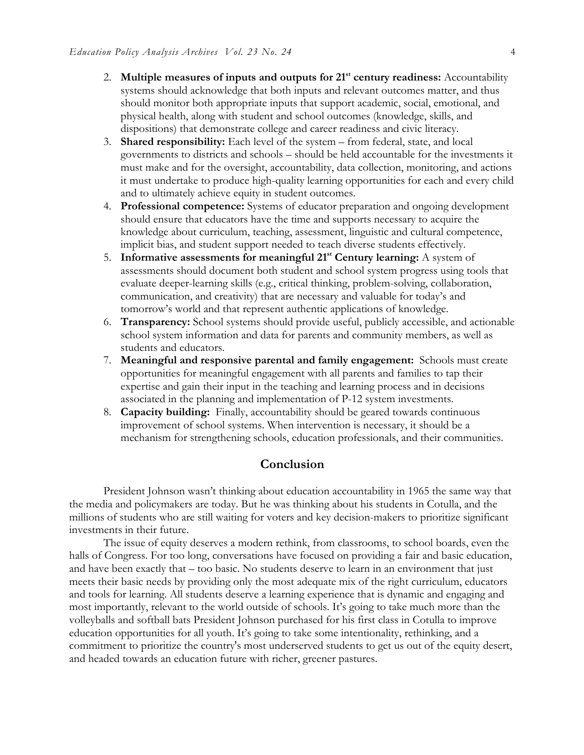- 2. **Multiple measures of inputs and outputs for 21st century readiness:** Accountability systems should acknowledge that both inputs and relevant outcomes matter, and thus should monitor both appropriate inputs that support academic, social, emotional, and physical health, along with student and school outcomes (knowledge, skills, and dispositions) that demonstrate college and career readiness and civic literacy.
- 3. **Shared responsibility:** Each level of the system from federal, state, and local governments to districts and schools – should be held accountable for the investments it must make and for the oversight, accountability, data collection, monitoring, and actions it must undertake to produce high-quality learning opportunities for each and every child and to ultimately achieve equity in student outcomes.
- 4. **Professional competence:** Systems of educator preparation and ongoing development should ensure that educators have the time and supports necessary to acquire the knowledge about curriculum, teaching, assessment, linguistic and cultural competence, implicit bias, and student support needed to teach diverse students effectively.
- 5. **Informative assessments for meaningful 21st Century learning:** A system of assessments should document both student and school system progress using tools that evaluate deeper-learning skills (e.g., critical thinking, problem-solving, collaboration, communication, and creativity) that are necessary and valuable for today's and tomorrow's world and that represent authentic applications of knowledge.
- 6. **Transparency:** School systems should provide useful, publicly accessible, and actionable school system information and data for parents and community members, as well as students and educators.
- 7. **Meaningful and responsive parental and family engagement:** Schools must create opportunities for meaningful engagement with all parents and families to tap their expertise and gain their input in the teaching and learning process and in decisions associated in the planning and implementation of P-12 system investments.
- 8. **Capacity building:** Finally, accountability should be geared towards continuous improvement of school systems. When intervention is necessary, it should be a mechanism for strengthening schools, education professionals, and their communities.

### **Conclusion**

President Johnson wasn't thinking about education accountability in 1965 the same way that the media and policymakers are today. But he was thinking about his students in Cotulla, and the millions of students who are still waiting for voters and key decision-makers to prioritize significant investments in their future.

The issue of equity deserves a modern rethink, from classrooms, to school boards, even the halls of Congress. For too long, conversations have focused on providing a fair and basic education, and have been exactly that – too basic. No students deserve to learn in an environment that just meets their basic needs by providing only the most adequate mix of the right curriculum, educators and tools for learning. All students deserve a learning experience that is dynamic and engaging and most importantly, relevant to the world outside of schools. It's going to take much more than the volleyballs and softball bats President Johnson purchased for his first class in Cotulla to improve education opportunities for all youth. It's going to take some intentionality, rethinking, and a commitment to prioritize the country's most underserved students to get us out of the equity desert, and headed towards an education future with richer, greener pastures.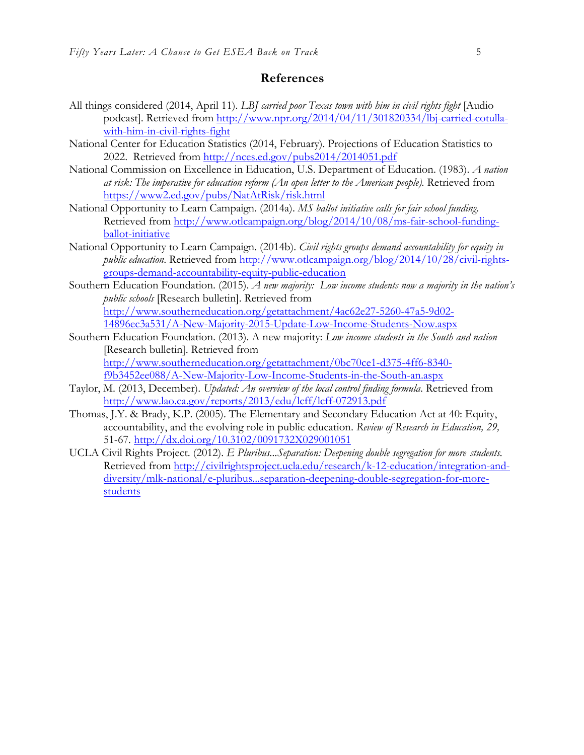## **References**

- All things considered (2014, April 11). *LBJ carried poor Texas town with him in civil rights fight* [Audio podcast]. Retrieved from http://www.npr.org/2014/04/11/301820334/lbj-carried-cotullawith-him-in-civil-rights-fight
- National Center for Education Statistics (2014, February). Projections of Education Statistics to 2022. Retrieved from http://nces.ed.gov/pubs2014/2014051.pdf
- National Commission on Excellence in Education, U.S. Department of Education. (1983). *A nation at risk: The imperative for education reform (An open letter to the American people).* Retrieved from https://www2.ed.gov/pubs/NatAtRisk/risk.html
- National Opportunity to Learn Campaign. (2014a). *MS ballot initiative calls for fair school funding.* Retrieved from http://www.otlcampaign.org/blog/2014/10/08/ms-fair-school-fundingballot-initiative
- National Opportunity to Learn Campaign. (2014b). *Civil rights groups demand accountability for equity in public education*. Retrieved from http://www.otlcampaign.org/blog/2014/10/28/civil-rightsgroups-demand-accountability-equity-public-education
- Southern Education Foundation. (2015). *A new majority: Low income students now a majority in the nation's public schools* [Research bulletin]. Retrieved from http://www.southerneducation.org/getattachment/4ac62e27-5260-47a5-9d02- 14896ec3a531/A-New-Majority-2015-Update-Low-Income-Students-Now.aspx
- Southern Education Foundation. (2013). A new majority: *Low income students in the South and nation* [Research bulletin]. Retrieved from http://www.southerneducation.org/getattachment/0bc70ce1-d375-4ff6-8340 f9b3452ee088/A-New-Majority-Low-Income-Students-in-the-South-an.aspx
- Taylor, M. (2013, December). *Updated: An overview of the local control finding formula*. Retrieved from http://www.lao.ca.gov/reports/2013/edu/lcff/lcff-072913.pdf
- Thomas, J.Y. & Brady, K.P. (2005). The Elementary and Secondary Education Act at 40: Equity, accountability, and the evolving role in public education. *Review of Research in Education, 29,* 51-67*.* http://dx.doi.org/10.3102/0091732X029001051
- UCLA Civil Rights Project. (2012). *E Pluribus...Separation: Deepening double segregation for more students.* Retrieved from http://civilrightsproject.ucla.edu/research/k-12-education/integration-anddiversity/mlk-national/e-pluribus...separation-deepening-double-segregation-for-morestudents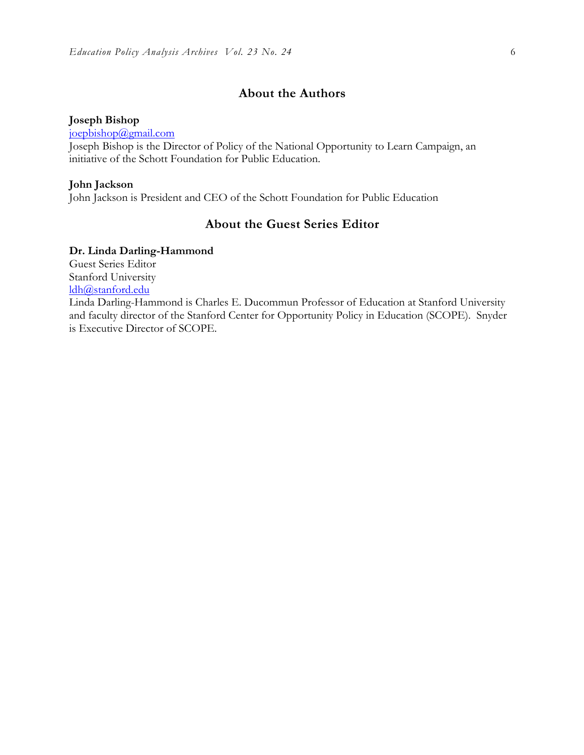## **About the Authors**

#### **Joseph Bishop**

joepbishop@gmail.com

Joseph Bishop is the Director of Policy of the National Opportunity to Learn Campaign, an initiative of the Schott Foundation for Public Education.

#### **John Jackson**

John Jackson is President and CEO of the Schott Foundation for Public Education

## **About the Guest Series Editor**

#### **Dr. Linda Darling-Hammond**

Guest Series Editor Stanford University ldh@stanford.edu

Linda Darling-Hammond is Charles E. Ducommun Professor of Education at Stanford University and faculty director of the Stanford Center for Opportunity Policy in Education (SCOPE). Snyder is Executive Director of SCOPE.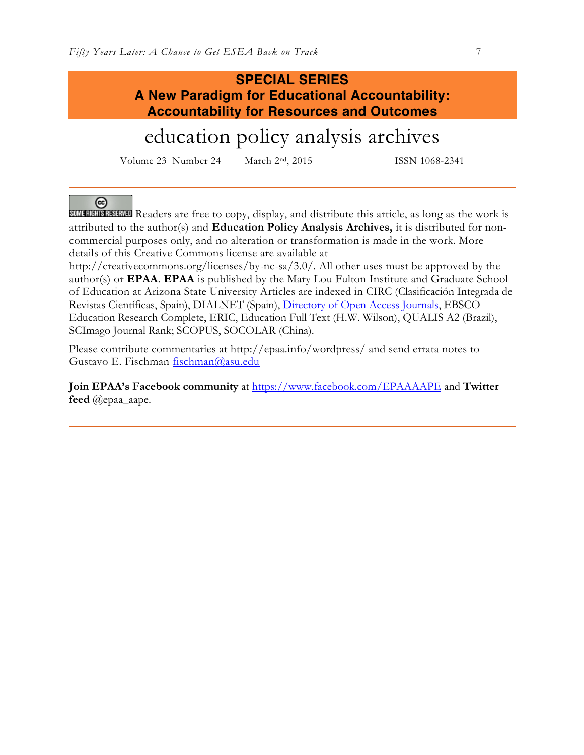# **SPECIAL SERIES A New Paradigm for Educational Accountability: Accountability for Resources and Outcomes**

# education policy analysis archives

Volume 23 Number 24 March 2<sup>nd</sup>, 2015 **ISSN** 1068-2341

 $(c)$ 

**SOME RIGHTS RESERVED** Readers are free to copy, display, and distribute this article, as long as the work is attributed to the author(s) and **Education Policy Analysis Archives,** it is distributed for noncommercial purposes only, and no alteration or transformation is made in the work. More details of this Creative Commons license are available at

http://creativecommons.org/licenses/by-nc-sa/3.0/. All other uses must be approved by the author(s) or **EPAA**. **EPAA** is published by the Mary Lou Fulton Institute and Graduate School of Education at Arizona State University Articles are indexed in CIRC (Clasificación Integrada de Revistas Científicas, Spain), DIALNET (Spain), Directory of Open Access Journals, EBSCO Education Research Complete, ERIC, Education Full Text (H.W. Wilson), QUALIS A2 (Brazil), SCImago Journal Rank; SCOPUS, SOCOLAR (China).

Please contribute commentaries at http://epaa.info/wordpress/ and send errata notes to Gustavo E. Fischman fischman@asu.edu

**Join EPAA's Facebook community** at https://www.facebook.com/EPAAAAPE and **Twitter feed** @epaa\_aape.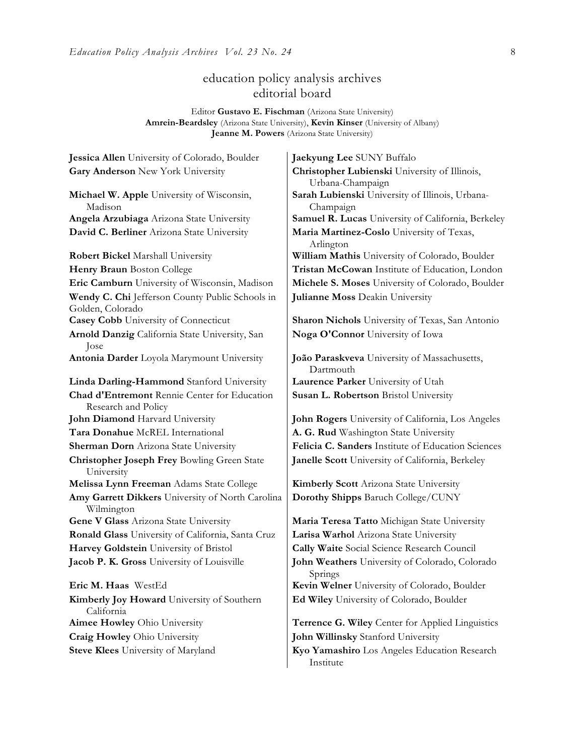# education policy analysis archives editorial board

Editor **Gustavo E. Fischman** (Arizona State University) **Amrein-Beardsley** (Arizona State University), **Kevin Kinser** (University of Albany) **Jeanne M. Powers** (Arizona State University)

**Gary Anderson** New York University **Christopher Lubienski** University of Illinois, **Michael W. Apple** University of Wisconsin, Madison **Angela Arzubiaga** Arizona State University **Samuel R. Lucas** University of California, Berkeley **David C. Berliner** Arizona State University **Maria Martinez-Coslo** University of Texas, **Robert Bickel Marshall University <b>William Mathis** University of Colorado, Boulder **Henry Braun** Boston College **Tristan McCowan** Institute of Education, London **Eric Camburn** University of Wisconsin, Madison **Michele S. Moses** University of Colorado, Boulder **Wendy C. Chi** Jefferson County Public Schools in Golden, Colorado **Casey Cobb** University of Connecticut | Sharon Nichols University of Texas, San Antonio **Arnold Danzig** California State University, San Jose **Antonia Darder** Loyola Marymount University **João Paraskveva** University of Massachusetts, **Linda Darling-Hammond** Stanford University **Laurence Parker** University of Utah **Chad d'Entremont** Rennie Center for Education Research and Policy **John Diamond** Harvard University **John Rogers** University of California, Los Angeles **Tara Donahue** McREL International **A. G. Rud** Washington State University **Sherman Dorn** Arizona State University **Felicia C. Sanders** Institute of Education Sciences **Christopher Joseph Frey** Bowling Green State University **Melissa Lynn Freeman** Adams State College **Kimberly Scott** Arizona State University **Amy Garrett Dikkers** University of North Carolina Wilmington **Gene V Glass** Arizona State University **Maria Teresa Tatto** Michigan State University **Ronald Glass** University of California, Santa Cruz **Larisa Warhol** Arizona State University **Harvey Goldstein** University of Bristol **Cally Waite** Social Science Research Council **Jacob P. K. Gross** University of Louisville **John Weathers** University of Colorado, Colorado **Eric M. Haas** WestEd **Kevin Welner** University of Colorado, Boulder **Kimberly Joy Howard** University of Southern California **Aimee Howley** Ohio University **Terrence G. Wiley** Center for Applied Linguistics **Craig Howley** Ohio University **John Willinsky** Stanford University

**Jessica Allen** University of Colorado, Boulder **Jaekyung Lee** SUNY Buffalo Urbana-Champaign **Sarah Lubienski** University of Illinois, Urbana-Champaign Arlington **Julianne Moss** Deakin University

**Noga O'Connor** University of Iowa

Dartmouth **Susan L. Robertson** Bristol University

**Janelle Scott** University of California, Berkeley

**Dorothy Shipps** Baruch College/CUNY

Springs **Ed Wiley** University of Colorado, Boulder

**Steve Klees** University of Maryland **Kyo Yamashiro** Los Angeles Education Research Institute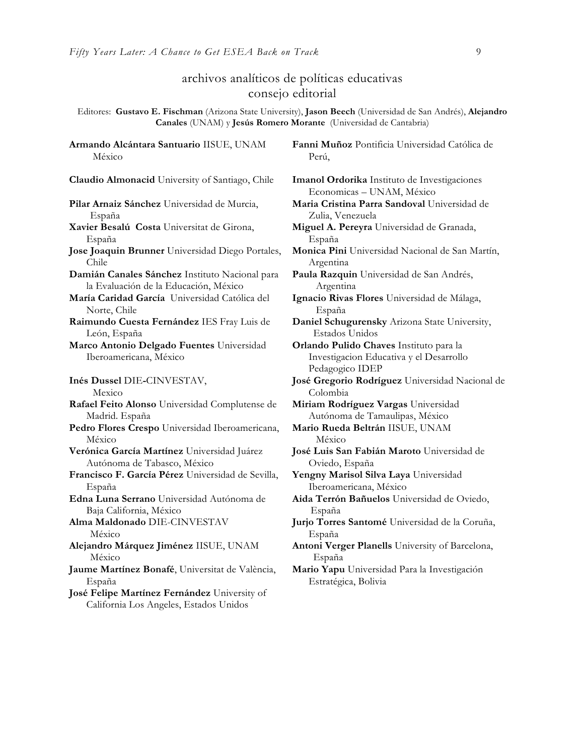**Armando Alcántara Santuario** IISUE, UNAM

# archivos analíticos de políticas educativas consejo editorial

Editores: **Gustavo E. Fischman** (Arizona State University), **Jason Beech** (Universidad de San Andrés), **Alejandro Canales** (UNAM) y **Jesús Romero Morante** (Universidad de Cantabria)

México **Claudio Almonacid** University of Santiago, Chile **Imanol Ordorika** Instituto de Investigaciones **Pilar Arnaiz Sánchez** Universidad de Murcia, España **Xavier Besalú Costa** Universitat de Girona, España **Jose Joaquin Brunner** Universidad Diego Portales, Chile **Damián Canales Sánchez** Instituto Nacional para la Evaluación de la Educación, México **María Caridad García** Universidad Católica del Norte, Chile **Raimundo Cuesta Fernández** IES Fray Luis de León, España **Marco Antonio Delgado Fuentes** Universidad Iberoamericana, México **Inés Dussel** DIE**-**CINVESTAV, Mexico **Rafael Feito Alonso** Universidad Complutense de Madrid. España **Pedro Flores Crespo** Universidad Iberoamericana, México **Verónica García Martínez** Universidad Juárez Autónoma de Tabasco, México **Francisco F. García Pérez** Universidad de Sevilla, España **Edna Luna Serrano** Universidad Autónoma de Baja California, México **Alma Maldonado** DIE-CINVESTAV México **Alejandro Márquez Jiménez** IISUE, UNAM México **Jaume Martínez Bonafé**, Universitat de València, España

**José Felipe Martínez Fernández** University of California Los Angeles, Estados Unidos

**Fanni Muñoz** Pontificia Universidad Católica de Perú,

Economicas – UNAM, México **Maria Cristina Parra Sandoval** Universidad de Zulia, Venezuela **Miguel A. Pereyra** Universidad de Granada, España **Monica Pini** Universidad Nacional de San Martín, Argentina **Paula Razquin** Universidad de San Andrés, Argentina **Ignacio Rivas Flores** Universidad de Málaga, España **Daniel Schugurensky** Arizona State University, Estados Unidos **Orlando Pulido Chaves** Instituto para la Investigacion Educativa y el Desarrollo Pedagogico IDEP **José Gregorio Rodríguez** Universidad Nacional de Colombia **Miriam Rodríguez Vargas** Universidad Autónoma de Tamaulipas, México **Mario Rueda Beltrán** IISUE, UNAM México **José Luis San Fabián Maroto** Universidad de Oviedo, España **Yengny Marisol Silva Laya** Universidad Iberoamericana, México **Aida Terrón Bañuelos** Universidad de Oviedo, España **Jurjo Torres Santomé** Universidad de la Coruña, España **Antoni Verger Planells** University of Barcelona, España **Mario Yapu** Universidad Para la Investigación Estratégica, Bolivia